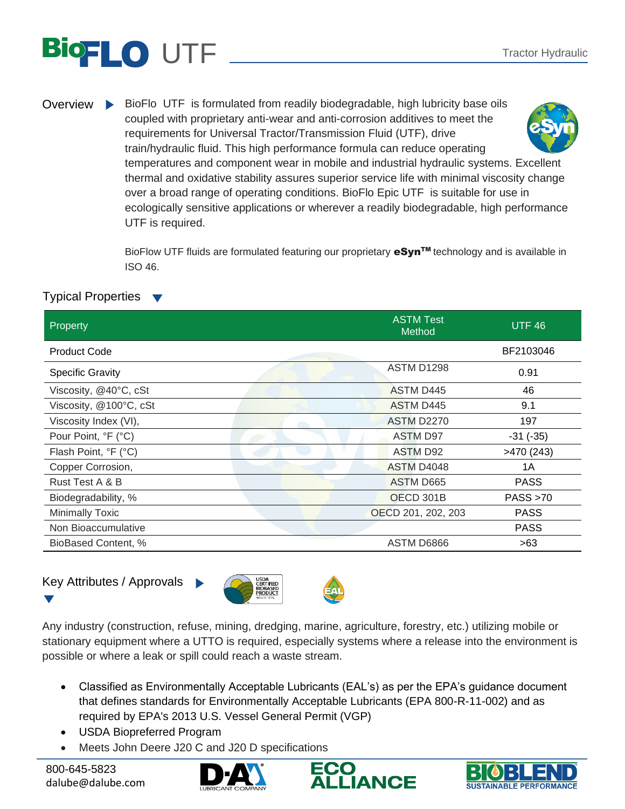# UTF Tractor Hydraulic

Overview BioFlo UTF is formulated from readily biodegradable, high lubricity base oils coupled with proprietary anti-wear and anti-corrosion additives to meet the requirements for Universal Tractor/Transmission Fluid (UTF), drive train/hydraulic fluid. This high performance formula can reduce operating temperatures and component wear in mobile and industrial hydraulic systems. Excellent thermal and oxidative stability assures superior service life with minimal viscosity change over a broad range of operating conditions. BioFlo Epic UTF is suitable for use in ecologically sensitive applications or wherever a readily biodegradable, high performance UTF is required.

> BioFlow UTF fluids are formulated featuring our proprietary eSyn™ technology and is available in ISO 46.

### Typical Properties ▼

| Property                | <b>ASTM Test</b><br>Method | UTF <sub>46</sub> |
|-------------------------|----------------------------|-------------------|
| <b>Product Code</b>     |                            | BF2103046         |
| <b>Specific Gravity</b> | <b>ASTM D1298</b>          | 0.91              |
| Viscosity, @40°C, cSt   | <b>ASTM D445</b>           | 46                |
| Viscosity, @100°C, cSt  | ASTM D445                  | 9.1               |
| Viscosity Index (VI),   | <b>ASTM D2270</b>          | 197               |
| Pour Point, °F (°C)     | ASTM D97                   | $-31$ $(-35)$     |
| Flash Point, °F (°C)    | <b>ASTM D92</b>            | >470(243)         |
| Copper Corrosion,       | ASTM D4048                 | 1A                |
| Rust Test A & B         | ASTM D665                  | <b>PASS</b>       |
| Biodegradability, %     | OECD 301B                  | PASS > 70         |
| <b>Minimally Toxic</b>  | OECD 201, 202, 203         | <b>PASS</b>       |
| Non Bioaccumulative     |                            | <b>PASS</b>       |
| BioBased Content, %     | ASTM D6866                 | >63               |

## Key Attributes / Approvals





Any industry (construction, refuse, mining, dredging, marine, agriculture, forestry, etc.) utilizing mobile or stationary equipment where a UTTO is required, especially systems where a release into the environment is possible or where a leak or spill could reach a waste stream.

- Classified as Environmentally Acceptable Lubricants (EAL's) as per the EPA's guidance document that defines standards for Environmentally Acceptable Lubricants (EPA 800-R-11-002) and as required by EPA's 2013 U.S. Vessel General Permit (VGP)
- USDA Biopreferred Program
- Meets John Deere J20 C and J20 D specifications

800-645-5823 dalube@dalube.com